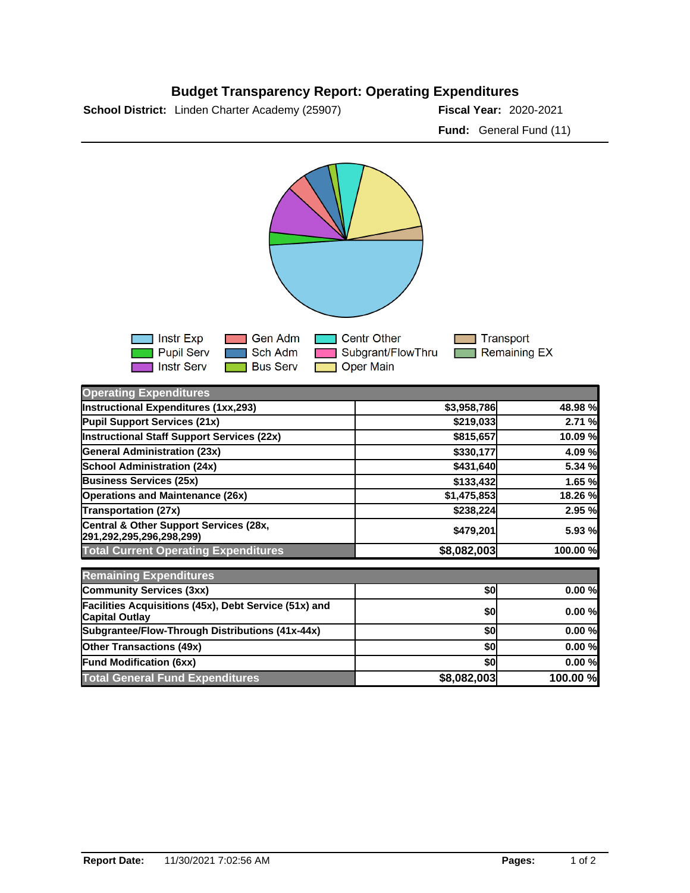## **Budget Transparency Report: Operating Expenditures**

**School District:** Linden Charter Academy (25907) **2021 Fiscal Year:** 2020-2021

**Fund:** General Fund (11)



| <b>Operating Expenditures</b>                                                  |             |          |
|--------------------------------------------------------------------------------|-------------|----------|
| Instructional Expenditures (1xx,293)                                           | \$3,958,786 | 48.98 %  |
| Pupil Support Services (21x)                                                   | \$219,033   | 2.71 %   |
| Instructional Staff Support Services (22x)                                     | \$815,657   | 10.09 %  |
| <b>General Administration (23x)</b>                                            | \$330,177   | 4.09 %   |
| <b>School Administration (24x)</b>                                             | \$431,640   | 5.34 %   |
| <b>Business Services (25x)</b>                                                 | \$133,432   | 1.65 %   |
| <b>Operations and Maintenance (26x)</b>                                        | \$1,475,853 | 18.26 %  |
| <b>Transportation (27x)</b>                                                    | \$238,224   | 2.95 %   |
| Central & Other Support Services (28x,<br>291,292,295,296,298,299)             | \$479,201   | 5.93 %   |
| <b>Total Current Operating Expenditures</b>                                    | \$8,082,003 | 100.00 % |
| <b>Remaining Expenditures</b>                                                  |             |          |
| <b>Community Services (3xx)</b>                                                | \$0         | 0.00%    |
| Facilities Acquisitions (45x), Debt Service (51x) and<br><b>Capital Outlay</b> | \$0         | 0.00%    |
| Subgrantee/Flow-Through Distributions (41x-44x)                                | \$0         | 0.00%    |
| <b>Other Transactions (49x)</b>                                                | \$0         | 0.00%    |
| <b>Fund Modification (6xx)</b>                                                 | \$0l        | 0.00%    |
| <b>Total General Fund Expenditures</b>                                         | \$8,082,003 | 100.00 % |